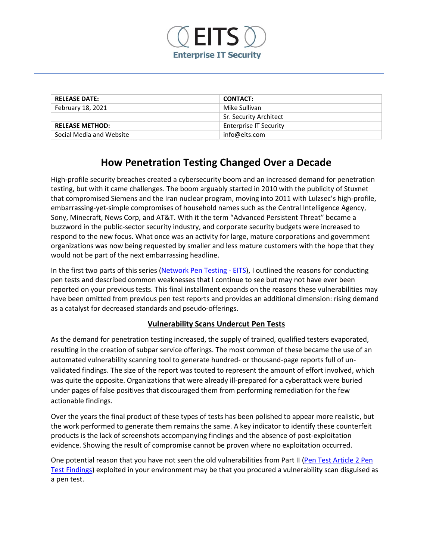

| <b>RELEASE DATE:</b>     | <b>CONTACT:</b>               |
|--------------------------|-------------------------------|
| February 18, 2021        | Mike Sullivan                 |
|                          | Sr. Security Architect        |
| <b>RELEASE METHOD:</b>   | <b>Enterprise IT Security</b> |
| Social Media and Website | info@eits.com                 |

# **How Penetration Testing Changed Over a Decade**

High-profile security breaches created a cybersecurity boom and an increased demand for penetration testing, but with it came challenges. The boom arguably started in 2010 with the publicity of Stuxnet that compromised Siemens and the Iran nuclear program, moving into 2011 with Lulzsec's high-profile, embarrassing-yet-simple compromises of household names such as the Central Intelligence Agency, Sony, Minecraft, News Corp, and AT&T. With it the term "Advanced Persistent Threat" became a buzzword in the public-sector security industry, and corporate security budgets were increased to respond to the new focus. What once was an activity for large, mature corporations and government organizations was now being requested by smaller and less mature customers with the hope that they would not be part of the next embarrassing headline.

In the first two parts of this series [\(Network Pen Testing -](https://www.eits.com/pen-testing-and-red-team-exercises/) EITS), I outlined the reasons for conducting pen tests and described common weaknesses that I continue to see but may not have ever been reported on your previous tests. This final installment expands on the reasons these vulnerabilities may have been omitted from previous pen test reports and provides an additional dimension: rising demand as a catalyst for decreased standards and pseudo-offerings.

# **Vulnerability Scans Undercut Pen Tests**

As the demand for penetration testing increased, the supply of trained, qualified testers evaporated, resulting in the creation of subpar service offerings. The most common of these became the use of an automated vulnerability scanning tool to generate hundred- or thousand-page reports full of unvalidated findings. The size of the report was touted to represent the amount of effort involved, which was quite the opposite. Organizations that were already ill-prepared for a cyberattack were buried under pages of false positives that discouraged them from performing remediation for the few actionable findings.

Over the years the final product of these types of tests has been polished to appear more realistic, but the work performed to generate them remains the same. A key indicator to identify these counterfeit products is the lack of screenshots accompanying findings and the absence of post-exploitation evidence. Showing the result of compromise cannot be proven where no exploitation occurred.

One potential reason that you have not seen the old vulnerabilities from Part II [\(Pen Test Article 2 Pen](https://www.eits.com/wp-content/uploads/2021/02/Pen-Test-Article-2-Pen-Test-Findings.pdf)  [Test Findings\)](https://www.eits.com/wp-content/uploads/2021/02/Pen-Test-Article-2-Pen-Test-Findings.pdf) exploited in your environment may be that you procured a vulnerability scan disguised as a pen test.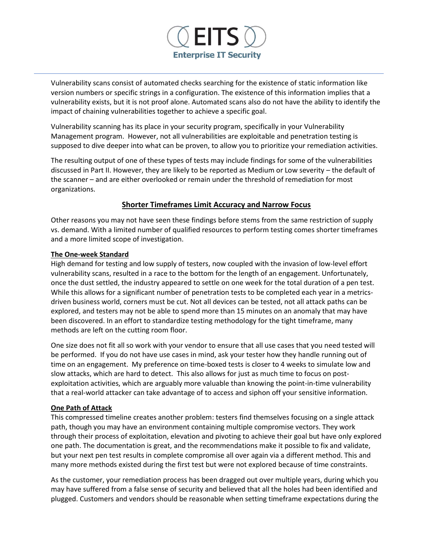

Vulnerability scans consist of automated checks searching for the existence of static information like version numbers or specific strings in a configuration. The existence of this information implies that a vulnerability exists, but it is not proof alone. Automated scans also do not have the ability to identify the impact of chaining vulnerabilities together to achieve a specific goal.

Vulnerability scanning has its place in your security program, specifically in your Vulnerability Management program. However, not all vulnerabilities are exploitable and penetration testing is supposed to dive deeper into what can be proven, to allow you to prioritize your remediation activities.

The resulting output of one of these types of tests may include findings for some of the vulnerabilities discussed in Part II. However, they are likely to be reported as Medium or Low severity – the default of the scanner – and are either overlooked or remain under the threshold of remediation for most organizations.

## **Shorter Timeframes Limit Accuracy and Narrow Focus**

Other reasons you may not have seen these findings before stems from the same restriction of supply vs. demand. With a limited number of qualified resources to perform testing comes shorter timeframes and a more limited scope of investigation.

#### **The One-week Standard**

High demand for testing and low supply of testers, now coupled with the invasion of low-level effort vulnerability scans, resulted in a race to the bottom for the length of an engagement. Unfortunately, once the dust settled, the industry appeared to settle on one week for the total duration of a pen test. While this allows for a significant number of penetration tests to be completed each year in a metricsdriven business world, corners must be cut. Not all devices can be tested, not all attack paths can be explored, and testers may not be able to spend more than 15 minutes on an anomaly that may have been discovered. In an effort to standardize testing methodology for the tight timeframe, many methods are left on the cutting room floor.

One size does not fit all so work with your vendor to ensure that all use cases that you need tested will be performed. If you do not have use cases in mind, ask your tester how they handle running out of time on an engagement. My preference on time-boxed tests is closer to 4 weeks to simulate low and slow attacks, which are hard to detect. This also allows for just as much time to focus on postexploitation activities, which are arguably more valuable than knowing the point-in-time vulnerability that a real-world attacker can take advantage of to access and siphon off your sensitive information.

#### **One Path of Attack**

This compressed timeline creates another problem: testers find themselves focusing on a single attack path, though you may have an environment containing multiple compromise vectors. They work through their process of exploitation, elevation and pivoting to achieve their goal but have only explored one path. The documentation is great, and the recommendations make it possible to fix and validate, but your next pen test results in complete compromise all over again via a different method. This and many more methods existed during the first test but were not explored because of time constraints.

As the customer, your remediation process has been dragged out over multiple years, during which you may have suffered from a false sense of security and believed that all the holes had been identified and plugged. Customers and vendors should be reasonable when setting timeframe expectations during the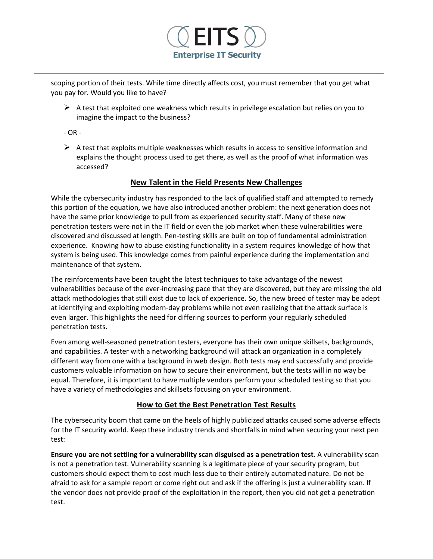

scoping portion of their tests. While time directly affects cost, you must remember that you get what you pay for. Would you like to have?

 $\triangleright$  A test that exploited one weakness which results in privilege escalation but relies on you to imagine the impact to the business?

- OR -

 $\triangleright$  A test that exploits multiple weaknesses which results in access to sensitive information and explains the thought process used to get there, as well as the proof of what information was accessed?

## **New Talent in the Field Presents New Challenges**

While the cybersecurity industry has responded to the lack of qualified staff and attempted to remedy this portion of the equation, we have also introduced another problem: the next generation does not have the same prior knowledge to pull from as experienced security staff. Many of these new penetration testers were not in the IT field or even the job market when these vulnerabilities were discovered and discussed at length. Pen-testing skills are built on top of fundamental administration experience. Knowing how to abuse existing functionality in a system requires knowledge of how that system is being used. This knowledge comes from painful experience during the implementation and maintenance of that system.

The reinforcements have been taught the latest techniques to take advantage of the newest vulnerabilities because of the ever-increasing pace that they are discovered, but they are missing the old attack methodologies that still exist due to lack of experience. So, the new breed of tester may be adept at identifying and exploiting modern-day problems while not even realizing that the attack surface is even larger. This highlights the need for differing sources to perform your regularly scheduled penetration tests.

Even among well-seasoned penetration testers, everyone has their own unique skillsets, backgrounds, and capabilities. A tester with a networking background will attack an organization in a completely different way from one with a background in web design. Both tests may end successfully and provide customers valuable information on how to secure their environment, but the tests will in no way be equal. Therefore, it is important to have multiple vendors perform your scheduled testing so that you have a variety of methodologies and skillsets focusing on your environment.

#### **How to Get the Best Penetration Test Results**

The cybersecurity boom that came on the heels of highly publicized attacks caused some adverse effects for the IT security world. Keep these industry trends and shortfalls in mind when securing your next pen test:

**Ensure you are not settling for a vulnerability scan disguised as a penetration test**. A vulnerability scan is not a penetration test. Vulnerability scanning is a legitimate piece of your security program, but customers should expect them to cost much less due to their entirely automated nature. Do not be afraid to ask for a sample report or come right out and ask if the offering is just a vulnerability scan. If the vendor does not provide proof of the exploitation in the report, then you did not get a penetration test.